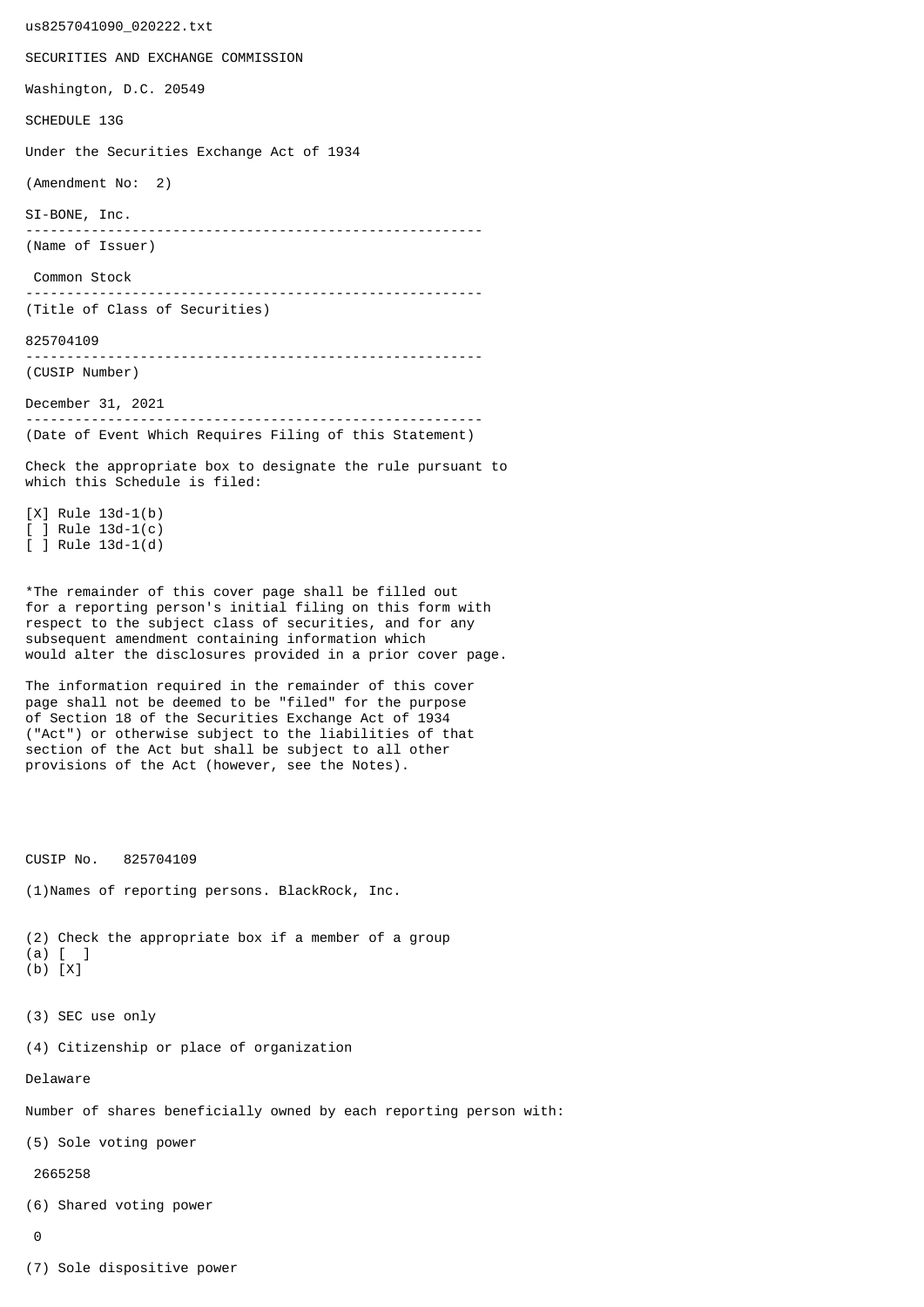us8257041090\_020222.txt SECURITIES AND EXCHANGE COMMISSION Washington, D.C. 20549 SCHEDULE 13G Under the Securities Exchange Act of 1934 (Amendment No: 2) SI-BONE, Inc. -------------------------------------------------------- (Name of Issuer) Common Stock -------------------------------------------------------- (Title of Class of Securities) 825704109 -------------------------------------------------------- (CUSIP Number) December 31, 2021 -------------------------------------------------------- (Date of Event Which Requires Filing of this Statement) Check the appropriate box to designate the rule pursuant to which this Schedule is filed: [X] Rule 13d-1(b) [ ] Rule 13d-1(c) [ ] Rule 13d-1(d) \*The remainder of this cover page shall be filled out for a reporting person's initial filing on this form with respect to the subject class of securities, and for any subsequent amendment containing information which would alter the disclosures provided in a prior cover page. The information required in the remainder of this cover page shall not be deemed to be "filed" for the purpose of Section 18 of the Securities Exchange Act of 1934 ("Act") or otherwise subject to the liabilities of that section of the Act but shall be subject to all other provisions of the Act (however, see the Notes). CUSIP No. 825704109 (1)Names of reporting persons. BlackRock, Inc. (2) Check the appropriate box if a member of a group (a) [ ] (b) [X] (3) SEC use only (4) Citizenship or place of organization Delaware Number of shares beneficially owned by each reporting person with: (5) Sole voting power 2665258 (6) Shared voting power  $\Omega$ 

(7) Sole dispositive power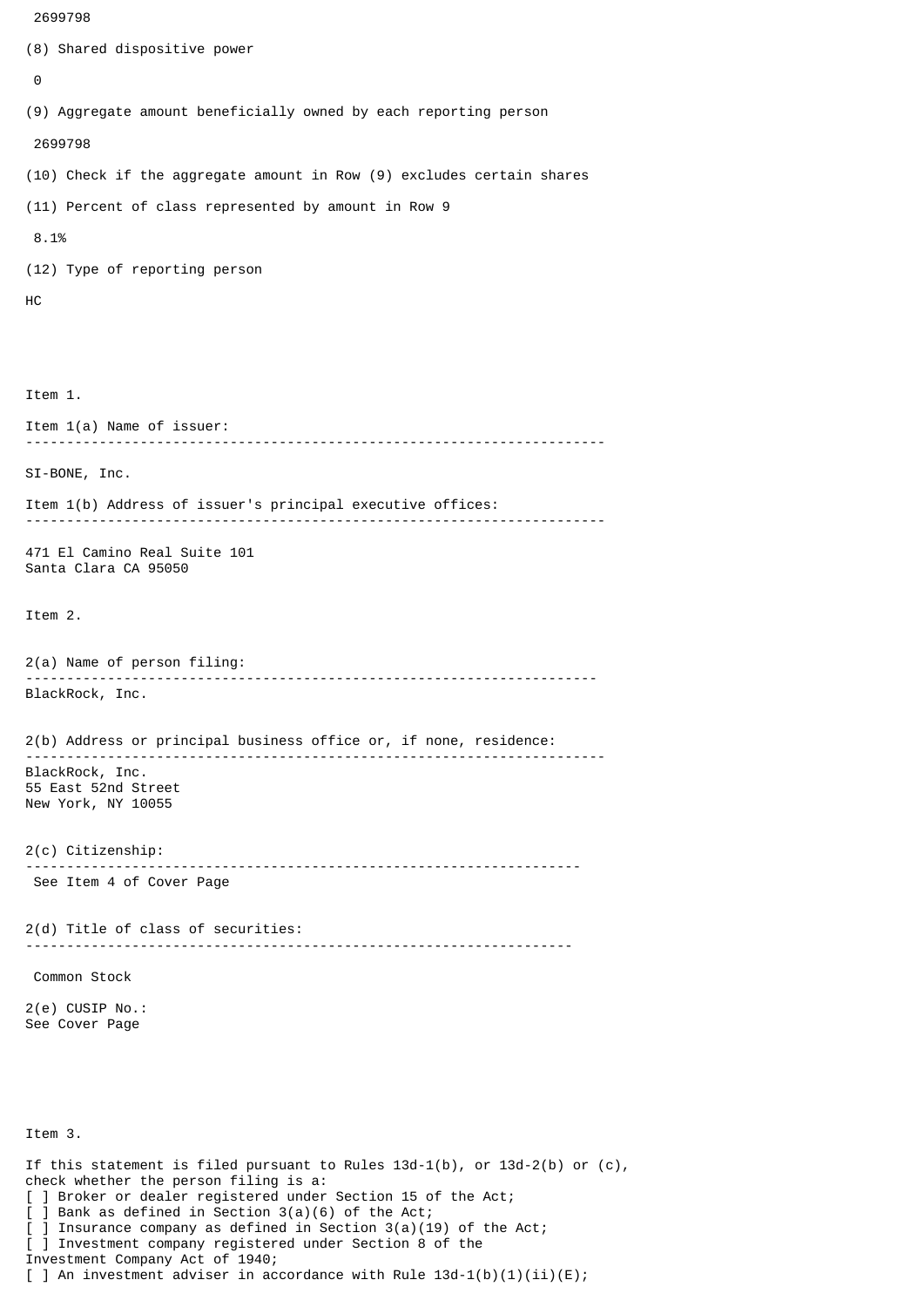```
 2699798
```

```
(8) Shared dispositive power
 \boldsymbol{\Theta}(9) Aggregate amount beneficially owned by each reporting person
  2699798
(10) Check if the aggregate amount in Row (9) excludes certain shares
(11) Percent of class represented by amount in Row 9
 8.1%
(12) Type of reporting person
HC
Item 1.
Item 1(a) Name of issuer:
            -----------------------------------------------------------------------
SI-BONE, Inc.
Item 1(b) Address of issuer's principal executive offices:
-----------------------------------------------------------------------
471 El Camino Real Suite 101
Santa Clara CA 95050
Item 2.
2(a) Name of person filing:
               ----------------------------------------------------------------------
BlackRock, Inc.
2(b) Address or principal business office or, if none, residence:
 -----------------------------------------------------------------------
BlackRock, Inc.
55 East 52nd Street
New York, NY 10055
2(c) Citizenship:
                            --------------------------------------------------------------------
 See Item 4 of Cover Page
2(d) Title of class of securities:
                                       -------------------------------------------------------------------
 Common Stock
2(e) CUSIP No.:
See Cover Page
Item 3.
If this statement is filed pursuant to Rules 13d-1(b), or 13d-2(b) or (c),
check whether the person filing is a:
[ ] Broker or dealer registered under Section 15 of the Act;
[ ] Bank as defined in Section 3(a)(6) of the Act;
  ] Insurance company as defined in Section 3(a)(19) of the Act;
[ ] Investment company registered under Section 8 of the
```
Investment Company Act of 1940;

[ ] An investment adviser in accordance with Rule  $13d-1(b)(1)(ii)(E)$ ;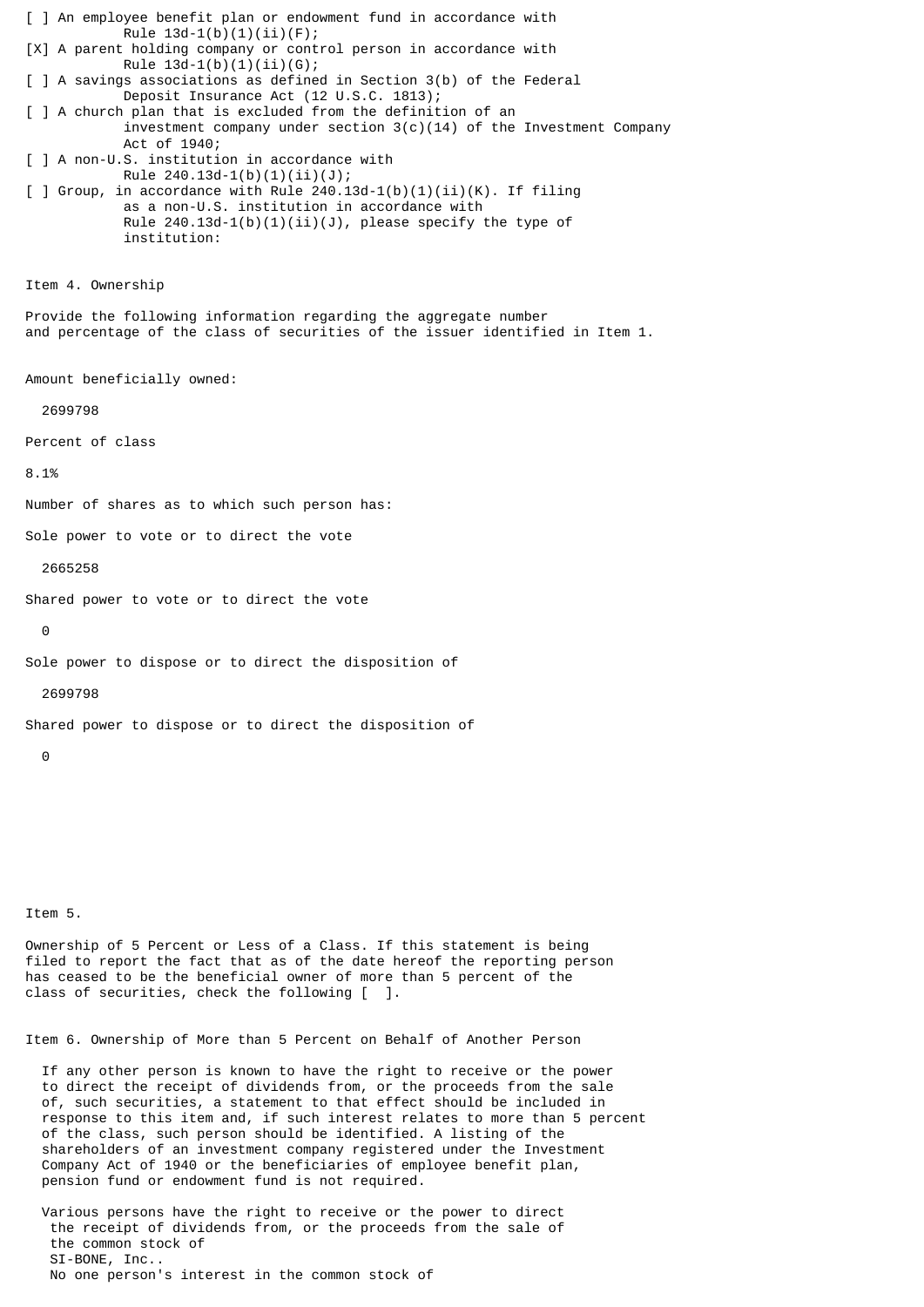[ ] An employee benefit plan or endowment fund in accordance with Rule  $13d-1(b)(1)(ii)(F);$ [X] A parent holding company or control person in accordance with Rule  $13d-1(b)(1)(ii)(G);$ [ ] A savings associations as defined in Section 3(b) of the Federal Deposit Insurance Act (12 U.S.C. 1813); [ ] A church plan that is excluded from the definition of an investment company under section  $3(c)(14)$  of the Investment Company Act of 1940; [ ] A non-U.S. institution in accordance with Rule 240.13d-1(b)(1)(ii)(J);  $\lceil$  ] Group, in accordance with Rule 240.13d-1(b)(1)(ii)(K). If filing as a non-U.S. institution in accordance with Rule  $240.13d-1(b)(1)(ii)(J)$ , please specify the type of institution: Item 4. Ownership Provide the following information regarding the aggregate number and percentage of the class of securities of the issuer identified in Item 1. Amount beneficially owned: 2699798 Percent of class 8.1% Number of shares as to which such person has: Sole power to vote or to direct the vote 2665258 Shared power to vote or to direct the vote  $\Theta$ Sole power to dispose or to direct the disposition of 2699798 Shared power to dispose or to direct the disposition of  $\Omega$ 

Item 5.

Ownership of 5 Percent or Less of a Class. If this statement is being filed to report the fact that as of the date hereof the reporting person has ceased to be the beneficial owner of more than 5 percent of the class of securities, check the following [ ].

Item 6. Ownership of More than 5 Percent on Behalf of Another Person

 If any other person is known to have the right to receive or the power to direct the receipt of dividends from, or the proceeds from the sale of, such securities, a statement to that effect should be included in response to this item and, if such interest relates to more than 5 percent of the class, such person should be identified. A listing of the shareholders of an investment company registered under the Investment Company Act of 1940 or the beneficiaries of employee benefit plan, pension fund or endowment fund is not required.

 Various persons have the right to receive or the power to direct the receipt of dividends from, or the proceeds from the sale of the common stock of SI-BONE, Inc.. No one person's interest in the common stock of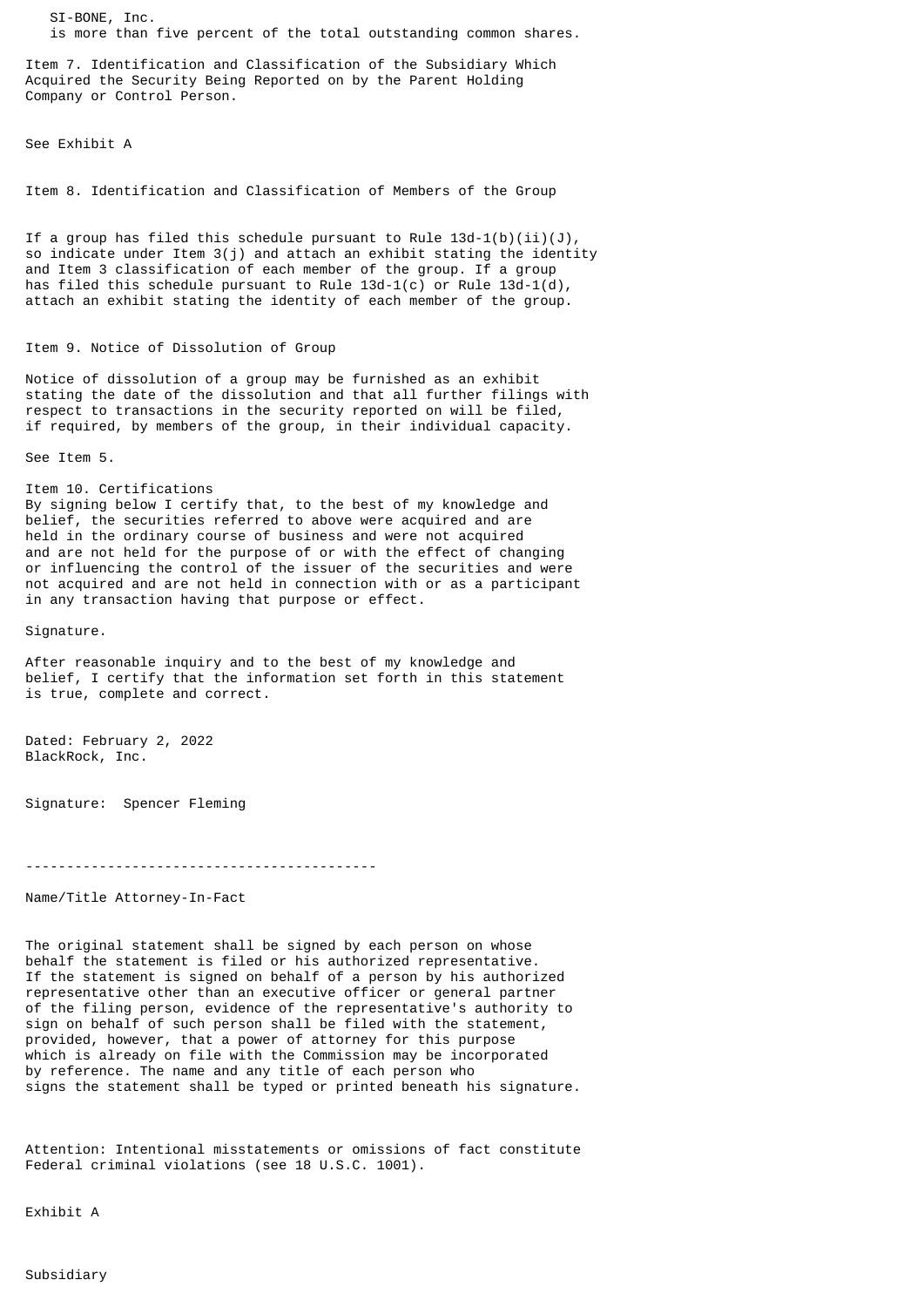SI-BONE, Inc. is more than five percent of the total outstanding common shares.

Item 7. Identification and Classification of the Subsidiary Which Acquired the Security Being Reported on by the Parent Holding Company or Control Person.

See Exhibit A

Item 8. Identification and Classification of Members of the Group

If a group has filed this schedule pursuant to Rule  $13d-1(b)(ii)(J)$ , so indicate under Item 3(j) and attach an exhibit stating the identity and Item 3 classification of each member of the group. If a group has filed this schedule pursuant to Rule  $13d-1(c)$  or Rule  $13d-1(d)$ , attach an exhibit stating the identity of each member of the group.

## Item 9. Notice of Dissolution of Group

Notice of dissolution of a group may be furnished as an exhibit stating the date of the dissolution and that all further filings with respect to transactions in the security reported on will be filed, if required, by members of the group, in their individual capacity.

See Item 5.

Item 10. Certifications By signing below I certify that, to the best of my knowledge and belief, the securities referred to above were acquired and are held in the ordinary course of business and were not acquired and are not held for the purpose of or with the effect of changing or influencing the control of the issuer of the securities and were not acquired and are not held in connection with or as a participant in any transaction having that purpose or effect.

Signature.

After reasonable inquiry and to the best of my knowledge and belief, I certify that the information set forth in this statement is true, complete and correct.

Dated: February 2, 2022 BlackRock, Inc.

Signature: Spencer Fleming

-------------------------------------------

Name/Title Attorney-In-Fact

The original statement shall be signed by each person on whose behalf the statement is filed or his authorized representative. If the statement is signed on behalf of a person by his authorized representative other than an executive officer or general partner of the filing person, evidence of the representative's authority to sign on behalf of such person shall be filed with the statement, provided, however, that a power of attorney for this purpose which is already on file with the Commission may be incorporated by reference. The name and any title of each person who signs the statement shall be typed or printed beneath his signature.

Attention: Intentional misstatements or omissions of fact constitute Federal criminal violations (see 18 U.S.C. 1001).

Exhibit A